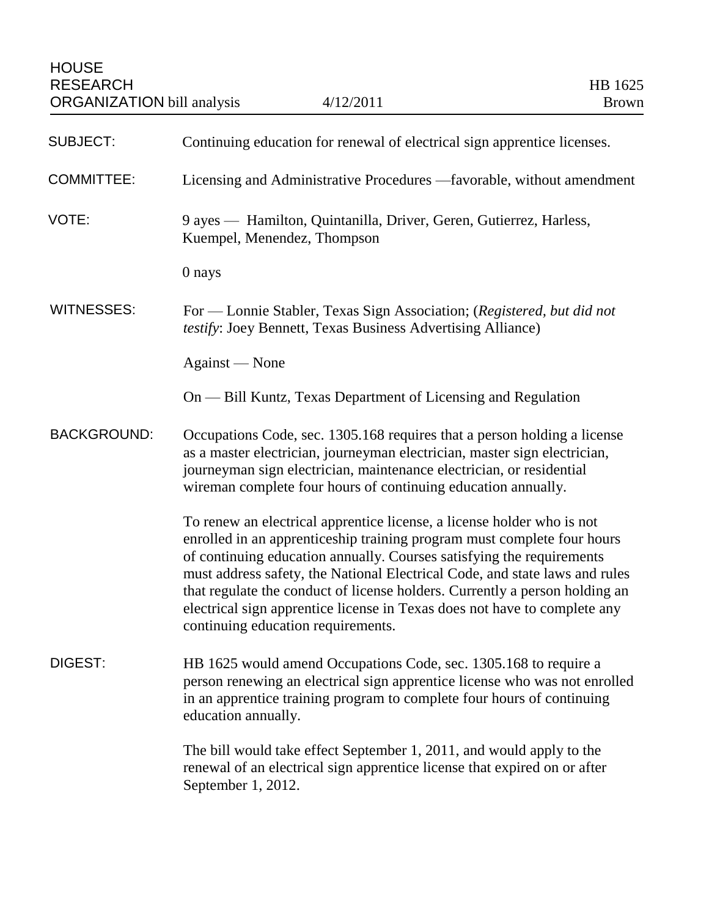| <b>SUBJECT:</b>    | Continuing education for renewal of electrical sign apprentice licenses.                                                                                                                                                                                                                                                                                                                                                                                                                                    |
|--------------------|-------------------------------------------------------------------------------------------------------------------------------------------------------------------------------------------------------------------------------------------------------------------------------------------------------------------------------------------------------------------------------------------------------------------------------------------------------------------------------------------------------------|
| <b>COMMITTEE:</b>  | Licensing and Administrative Procedures —favorable, without amendment                                                                                                                                                                                                                                                                                                                                                                                                                                       |
| VOTE:              | 9 ayes — Hamilton, Quintanilla, Driver, Geren, Gutierrez, Harless,<br>Kuempel, Menendez, Thompson                                                                                                                                                                                                                                                                                                                                                                                                           |
|                    | 0 nays                                                                                                                                                                                                                                                                                                                                                                                                                                                                                                      |
| <b>WITNESSES:</b>  | For — Lonnie Stabler, Texas Sign Association; (Registered, but did not<br>testify: Joey Bennett, Texas Business Advertising Alliance)                                                                                                                                                                                                                                                                                                                                                                       |
|                    | Against — None                                                                                                                                                                                                                                                                                                                                                                                                                                                                                              |
|                    | On — Bill Kuntz, Texas Department of Licensing and Regulation                                                                                                                                                                                                                                                                                                                                                                                                                                               |
| <b>BACKGROUND:</b> | Occupations Code, sec. 1305.168 requires that a person holding a license<br>as a master electrician, journeyman electrician, master sign electrician,<br>journeyman sign electrician, maintenance electrician, or residential<br>wireman complete four hours of continuing education annually.                                                                                                                                                                                                              |
|                    | To renew an electrical apprentice license, a license holder who is not<br>enrolled in an apprenticeship training program must complete four hours<br>of continuing education annually. Courses satisfying the requirements<br>must address safety, the National Electrical Code, and state laws and rules<br>that regulate the conduct of license holders. Currently a person holding an<br>electrical sign apprentice license in Texas does not have to complete any<br>continuing education requirements. |
| DIGEST:            | HB 1625 would amend Occupations Code, sec. 1305.168 to require a<br>person renewing an electrical sign apprentice license who was not enrolled<br>in an apprentice training program to complete four hours of continuing<br>education annually.                                                                                                                                                                                                                                                             |
|                    | The bill would take effect September 1, 2011, and would apply to the<br>renewal of an electrical sign apprentice license that expired on or after<br>September 1, 2012.                                                                                                                                                                                                                                                                                                                                     |